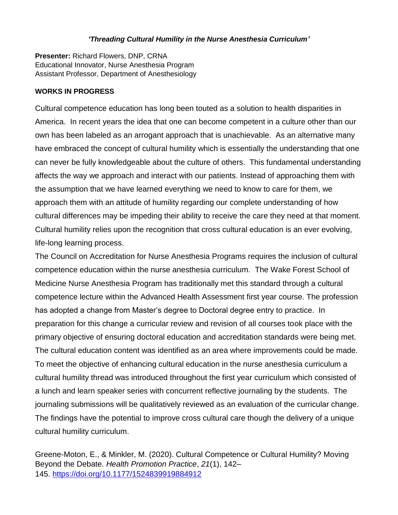## *'Threading Cultural Humility in the Nurse Anesthesia Curriculum'*

**Presenter:** Richard Flowers, DNP, CRNA Educational Innovator, Nurse Anesthesia Program Assistant Professor, Department of Anesthesiology

## **WORKS IN PROGRESS**

Cultural competence education has long been touted as a solution to health disparities in America. In recent years the idea that one can become competent in a culture other than our own has been labeled as an arrogant approach that is unachievable. As an alternative many have embraced the concept of cultural humility which is essentially the understanding that one can never be fully knowledgeable about the culture of others. This fundamental understanding affects the way we approach and interact with our patients. Instead of approaching them with the assumption that we have learned everything we need to know to care for them, we approach them with an attitude of humility regarding our complete understanding of how cultural differences may be impeding their ability to receive the care they need at that moment. Cultural humility relies upon the recognition that cross cultural education is an ever evolving, life-long learning process.

The Council on Accreditation for Nurse Anesthesia Programs requires the inclusion of cultural competence education within the nurse anesthesia curriculum. The Wake Forest School of Medicine Nurse Anesthesia Program has traditionally met this standard through a cultural competence lecture within the Advanced Health Assessment first year course. The profession has adopted a change from Master's degree to Doctoral degree entry to practice. In preparation for this change a curricular review and revision of all courses took place with the primary objective of ensuring doctoral education and accreditation standards were being met. The cultural education content was identified as an area where improvements could be made. To meet the objective of enhancing cultural education in the nurse anesthesia curriculum a cultural humility thread was introduced throughout the first year curriculum which consisted of a lunch and learn speaker series with concurrent reflective journaling by the students. The journaling submissions will be qualitatively reviewed as an evaluation of the curricular change. The findings have the potential to improve cross cultural care though the delivery of a unique cultural humility curriculum.

Greene-Moton, E., & Minkler, M. (2020). Cultural Competence or Cultural Humility? Moving Beyond the Debate. *Health Promotion Practice*, *21*(1), 142– 145. <https://doi.org/10.1177/1524839919884912>